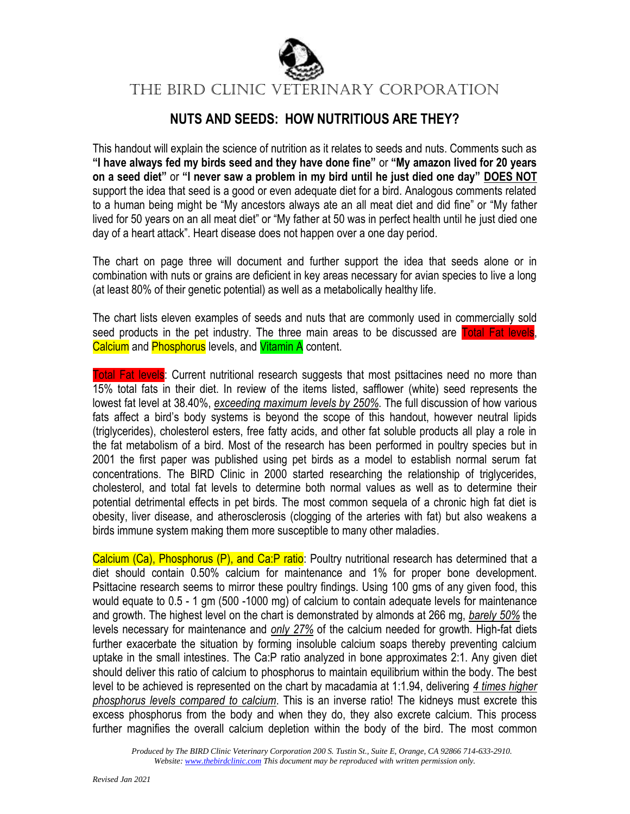

The BIRD Clinic VETERINARY CORPORATION

### **NUTS AND SEEDS: HOW NUTRITIOUS ARE THEY?**

This handout will explain the science of nutrition as it relates to seeds and nuts. Comments such as **"I have always fed my birds seed and they have done fine"** or **"My amazon lived for 20 years on a seed diet"** or **"I never saw a problem in my bird until he just died one day" DOES NOT** support the idea that seed is a good or even adequate diet for a bird. Analogous comments related to a human being might be "My ancestors always ate an all meat diet and did fine" or "My father lived for 50 years on an all meat diet" or "My father at 50 was in perfect health until he just died one day of a heart attack". Heart disease does not happen over a one day period.

The chart on page three will document and further support the idea that seeds alone or in combination with nuts or grains are deficient in key areas necessary for avian species to live a long (at least 80% of their genetic potential) as well as a metabolically healthy life.

The chart lists eleven examples of seeds and nuts that are commonly used in commercially sold seed products in the pet industry. The three main areas to be discussed are Total Fat levels, Calcium and Phosphorus levels, and Vitamin A content.

Total Fat levels: Current nutritional research suggests that most psittacines need no more than 15% total fats in their diet. In review of the items listed, safflower (white) seed represents the lowest fat level at 38.40%, *exceeding maximum levels by 250%*. The full discussion of how various fats affect a bird's body systems is beyond the scope of this handout, however neutral lipids (triglycerides), cholesterol esters, free fatty acids, and other fat soluble products all play a role in the fat metabolism of a bird. Most of the research has been performed in poultry species but in 2001 the first paper was published using pet birds as a model to establish normal serum fat concentrations. The BIRD Clinic in 2000 started researching the relationship of triglycerides, cholesterol, and total fat levels to determine both normal values as well as to determine their potential detrimental effects in pet birds. The most common sequela of a chronic high fat diet is obesity, liver disease, and atherosclerosis (clogging of the arteries with fat) but also weakens a birds immune system making them more susceptible to many other maladies.

Calcium (Ca), Phosphorus (P), and Ca:P ratio: Poultry nutritional research has determined that a diet should contain 0.50% calcium for maintenance and 1% for proper bone development. Psittacine research seems to mirror these poultry findings. Using 100 gms of any given food, this would equate to 0.5 - 1 gm (500 -1000 mg) of calcium to contain adequate levels for maintenance and growth. The highest level on the chart is demonstrated by almonds at 266 mg, *barely 50%* the levels necessary for maintenance and *only 27%* of the calcium needed for growth. High-fat diets further exacerbate the situation by forming insoluble calcium soaps thereby preventing calcium uptake in the small intestines. The Ca:P ratio analyzed in bone approximates 2:1. Any given diet should deliver this ratio of calcium to phosphorus to maintain equilibrium within the body. The best level to be achieved is represented on the chart by macadamia at 1:1.94, delivering *4 times higher phosphorus levels compared to calcium*. This is an inverse ratio! The kidneys must excrete this excess phosphorus from the body and when they do, they also excrete calcium. This process further magnifies the overall calcium depletion within the body of the bird. The most common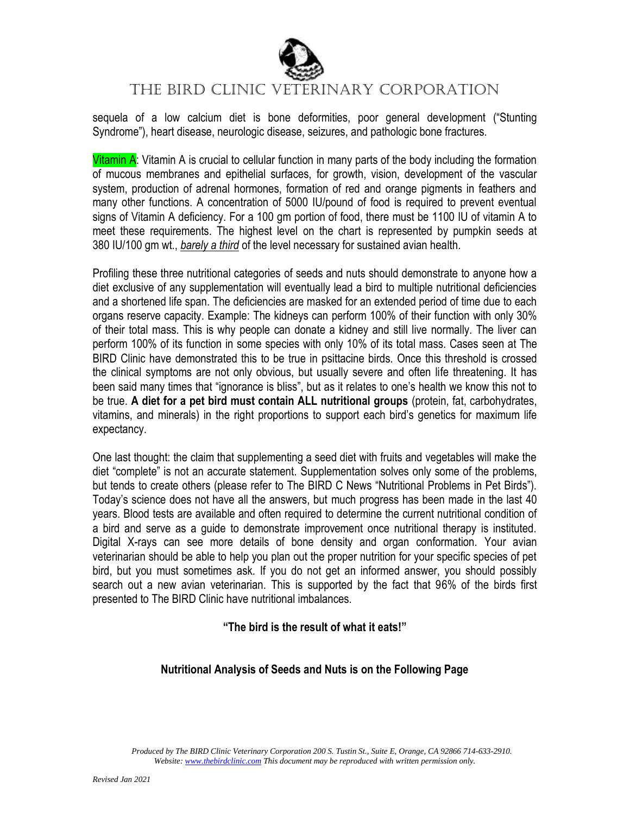

## The BIRD Clinic VETERINARY CORPORATION

sequela of a low calcium diet is bone deformities, poor general development ("Stunting Syndrome"), heart disease, neurologic disease, seizures, and pathologic bone fractures.

Vitamin A: Vitamin A is crucial to cellular function in many parts of the body including the formation of mucous membranes and epithelial surfaces, for growth, vision, development of the vascular system, production of adrenal hormones, formation of red and orange pigments in feathers and many other functions. A concentration of 5000 IU/pound of food is required to prevent eventual signs of Vitamin A deficiency. For a 100 gm portion of food, there must be 1100 IU of vitamin A to meet these requirements. The highest level on the chart is represented by pumpkin seeds at 380 IU/100 gm wt., *barely a third* of the level necessary for sustained avian health.

Profiling these three nutritional categories of seeds and nuts should demonstrate to anyone how a diet exclusive of any supplementation will eventually lead a bird to multiple nutritional deficiencies and a shortened life span. The deficiencies are masked for an extended period of time due to each organs reserve capacity. Example: The kidneys can perform 100% of their function with only 30% of their total mass. This is why people can donate a kidney and still live normally. The liver can perform 100% of its function in some species with only 10% of its total mass. Cases seen at The BIRD Clinic have demonstrated this to be true in psittacine birds. Once this threshold is crossed the clinical symptoms are not only obvious, but usually severe and often life threatening. It has been said many times that "ignorance is bliss", but as it relates to one's health we know this not to be true. **A diet for a pet bird must contain ALL nutritional groups** (protein, fat, carbohydrates, vitamins, and minerals) in the right proportions to support each bird's genetics for maximum life expectancy.

One last thought: the claim that supplementing a seed diet with fruits and vegetables will make the diet "complete" is not an accurate statement. Supplementation solves only some of the problems, but tends to create others (please refer to The BIRD C News "Nutritional Problems in Pet Birds"). Today's science does not have all the answers, but much progress has been made in the last 40 years. Blood tests are available and often required to determine the current nutritional condition of a bird and serve as a guide to demonstrate improvement once nutritional therapy is instituted. Digital X-rays can see more details of bone density and organ conformation. Your avian veterinarian should be able to help you plan out the proper nutrition for your specific species of pet bird, but you must sometimes ask. If you do not get an informed answer, you should possibly search out a new avian veterinarian. This is supported by the fact that 96% of the birds first presented to The BIRD Clinic have nutritional imbalances.

#### **"The bird is the result of what it eats!"**

#### **Nutritional Analysis of Seeds and Nuts is on the Following Page**